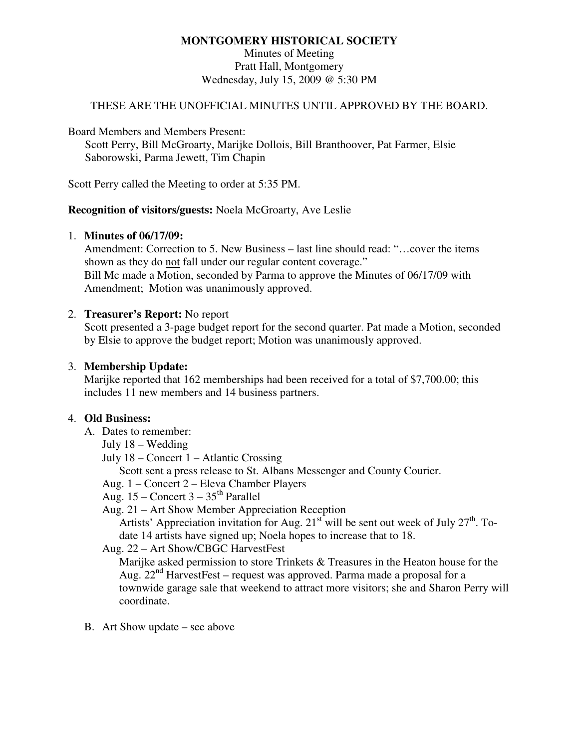## **MONTGOMERY HISTORICAL SOCIETY**

Minutes of Meeting Pratt Hall, Montgomery Wednesday, July 15, 2009 @ 5:30 PM

### THESE ARE THE UNOFFICIAL MINUTES UNTIL APPROVED BY THE BOARD.

Board Members and Members Present:

Scott Perry, Bill McGroarty, Marijke Dollois, Bill Branthoover, Pat Farmer, Elsie Saborowski, Parma Jewett, Tim Chapin

Scott Perry called the Meeting to order at 5:35 PM.

#### **Recognition of visitors/guests:** Noela McGroarty, Ave Leslie

#### 1. **Minutes of 06/17/09:**

Amendment: Correction to 5. New Business – last line should read: "…cover the items shown as they do not fall under our regular content coverage." Bill Mc made a Motion, seconded by Parma to approve the Minutes of 06/17/09 with Amendment; Motion was unanimously approved.

### 2. **Treasurer's Report:** No report

Scott presented a 3-page budget report for the second quarter. Pat made a Motion, seconded by Elsie to approve the budget report; Motion was unanimously approved.

### 3. **Membership Update:**

Marijke reported that 162 memberships had been received for a total of \$7,700.00; this includes 11 new members and 14 business partners.

### 4. **Old Business:**

- A. Dates to remember:
	- July 18 Wedding
	- July 18 Concert 1 Atlantic Crossing

Scott sent a press release to St. Albans Messenger and County Courier.

- Aug. 1 Concert 2 Eleva Chamber Players
- Aug.  $15$  Concert  $3 35$ <sup>th</sup> Parallel
- Aug. 21 Art Show Member Appreciation Reception

Artists' Appreciation invitation for Aug.  $21^{st}$  will be sent out week of July  $27^{th}$ . Todate 14 artists have signed up; Noela hopes to increase that to 18.

### Aug. 22 – Art Show/CBGC HarvestFest

Marijke asked permission to store Trinkets & Treasures in the Heaton house for the Aug. 22<sup>nd</sup> HarvestFest – request was approved. Parma made a proposal for a townwide garage sale that weekend to attract more visitors; she and Sharon Perry will coordinate.

B. Art Show update – see above